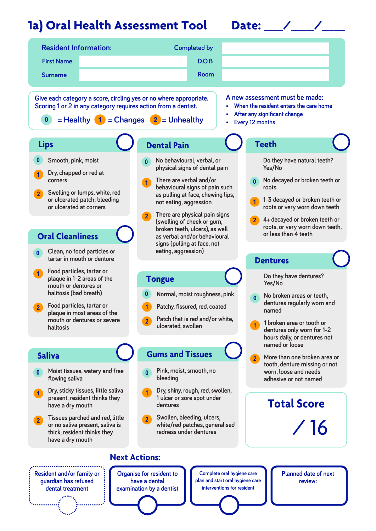## **1a) Oral Health Assessment Tool Date: \_\_\_\_\_/\_\_\_\_\_\_/\_\_\_\_\_\_**